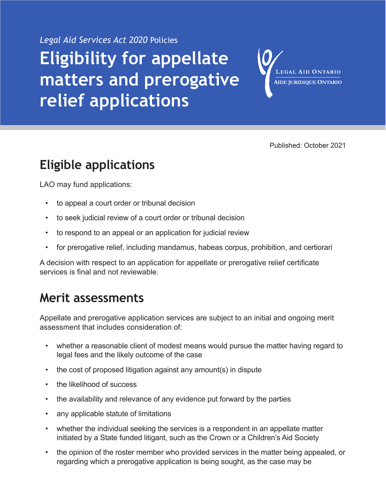*Legal Aid Services Act 2020* Policies

# **Eligibility for appellate matters and prerogative relief applications**

LEGAL AID ONTARIO **AIDE JURIDIQUE ONTARIO** 

Published: October 2021

## **Eligible applications**

LAO may fund applications:

- to appeal a court order or tribunal decision
- to seek judicial review of a court order or tribunal decision
- to respond to an appeal or an application for judicial review
- for prerogative relief, including mandamus, habeas corpus, prohibition, and certiorari

A decision with respect to an application for appellate or prerogative relief certificate services is final and not reviewable.

### **Merit assessments**

Appellate and prerogative application services are subject to an initial and ongoing merit assessment that includes consideration of:

- whether a reasonable client of modest means would pursue the matter having regard to legal fees and the likely outcome of the case
- the cost of proposed litigation against any amount(s) in dispute
- the likelihood of success
- the availability and relevance of any evidence put forward by the parties
- any applicable statute of limitations
- whether the individual seeking the services is a respondent in an appellate matter initiated by a State funded litigant, such as the Crown or a Children's Aid Society
- the opinion of the roster member who provided services in the matter being appealed, or regarding which a prerogative application is being sought, as the case may be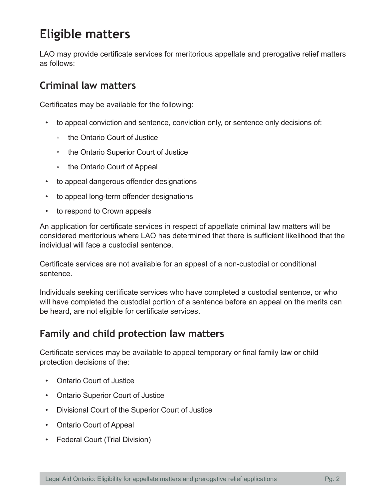### **Eligible matters**

LAO may provide certificate services for meritorious appellate and prerogative relief matters as follows:

#### **Criminal law matters**

Certificates may be available for the following:

- to appeal conviction and sentence, conviction only, or sentence only decisions of:
	- the Ontario Court of Justice
	- the Ontario Superior Court of Justice
	- the Ontario Court of Appeal
- to appeal dangerous offender designations
- to appeal long-term offender designations
- to respond to Crown appeals

An application for certificate services in respect of appellate criminal law matters will be considered meritorious where LAO has determined that there is sufficient likelihood that the individual will face a custodial sentence.

Certificate services are not available for an appeal of a non-custodial or conditional sentence.

Individuals seeking certificate services who have completed a custodial sentence, or who will have completed the custodial portion of a sentence before an appeal on the merits can be heard, are not eligible for certificate services.

#### **Family and child protection law matters**

Certificate services may be available to appeal temporary or final family law or child protection decisions of the:

- Ontario Court of Justice
- Ontario Superior Court of Justice
- Divisional Court of the Superior Court of Justice
- Ontario Court of Appeal
- Federal Court (Trial Division)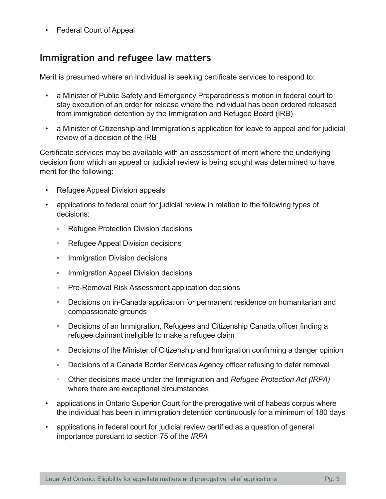• Federal Court of Appeal

#### **Immigration and refugee law matters**

Merit is presumed where an individual is seeking certificate services to respond to:

- a Minister of Public Safety and Emergency Preparedness's motion in federal court to stay execution of an order for release where the individual has been ordered released from immigration detention by the Immigration and Refugee Board (IRB)
- a Minister of Citizenship and Immigration's application for leave to appeal and for judicial review of a decision of the IRB

Certificate services may be available with an assessment of merit where the underlying decision from which an appeal or judicial review is being sought was determined to have merit for the following:

- Refugee Appeal Division appeals
- applications to federal court for judicial review in relation to the following types of decisions:
	- Refugee Protection Division decisions
	- Refugee Appeal Division decisions
	- Immigration Division decisions
	- Immigration Appeal Division decisions
	- Pre-Removal Risk Assessment application decisions
	- Decisions on in-Canada application for permanent residence on humanitarian and compassionate grounds
	- Decisions of an Immigration, Refugees and Citizenship Canada officer finding a refugee claimant ineligible to make a refugee claim
	- Decisions of the Minister of Citizenship and Immigration confirming a danger opinion
	- Decisions of a Canada Border Services Agency officer refusing to defer removal
	- Other decisions made under the Immigration and *Refugee Protection Act (IRPA)*  where there are exceptional circumstances
- applications in Ontario Superior Court for the prerogative writ of habeas corpus where the individual has been in immigration detention continuously for a minimum of 180 days
- applications in federal court for judicial review certified as a question of general importance pursuant to section 75 of the *IRPA*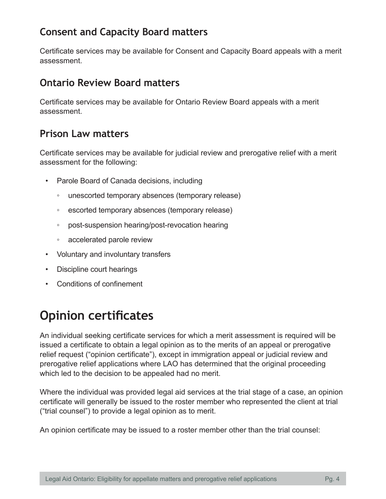#### **Consent and Capacity Board matters**

Certificate services may be available for Consent and Capacity Board appeals with a merit assessment.

#### **Ontario Review Board matters**

Certificate services may be available for Ontario Review Board appeals with a merit assessment.

#### **Prison Law matters**

Certificate services may be available for judicial review and prerogative relief with a merit assessment for the following:

- Parole Board of Canada decisions, including
	- unescorted temporary absences (temporary release)
	- escorted temporary absences (temporary release)
	- post-suspension hearing/post-revocation hearing
	- accelerated parole review
- Voluntary and involuntary transfers
- Discipline court hearings
- Conditions of confinement

## **Opinion certificates**

An individual seeking certificate services for which a merit assessment is required will be issued a certificate to obtain a legal opinion as to the merits of an appeal or prerogative relief request ("opinion certificate"), except in immigration appeal or judicial review and prerogative relief applications where LAO has determined that the original proceeding which led to the decision to be appealed had no merit.

Where the individual was provided legal aid services at the trial stage of a case, an opinion certificate will generally be issued to the roster member who represented the client at trial ("trial counsel") to provide a legal opinion as to merit.

An opinion certificate may be issued to a roster member other than the trial counsel: